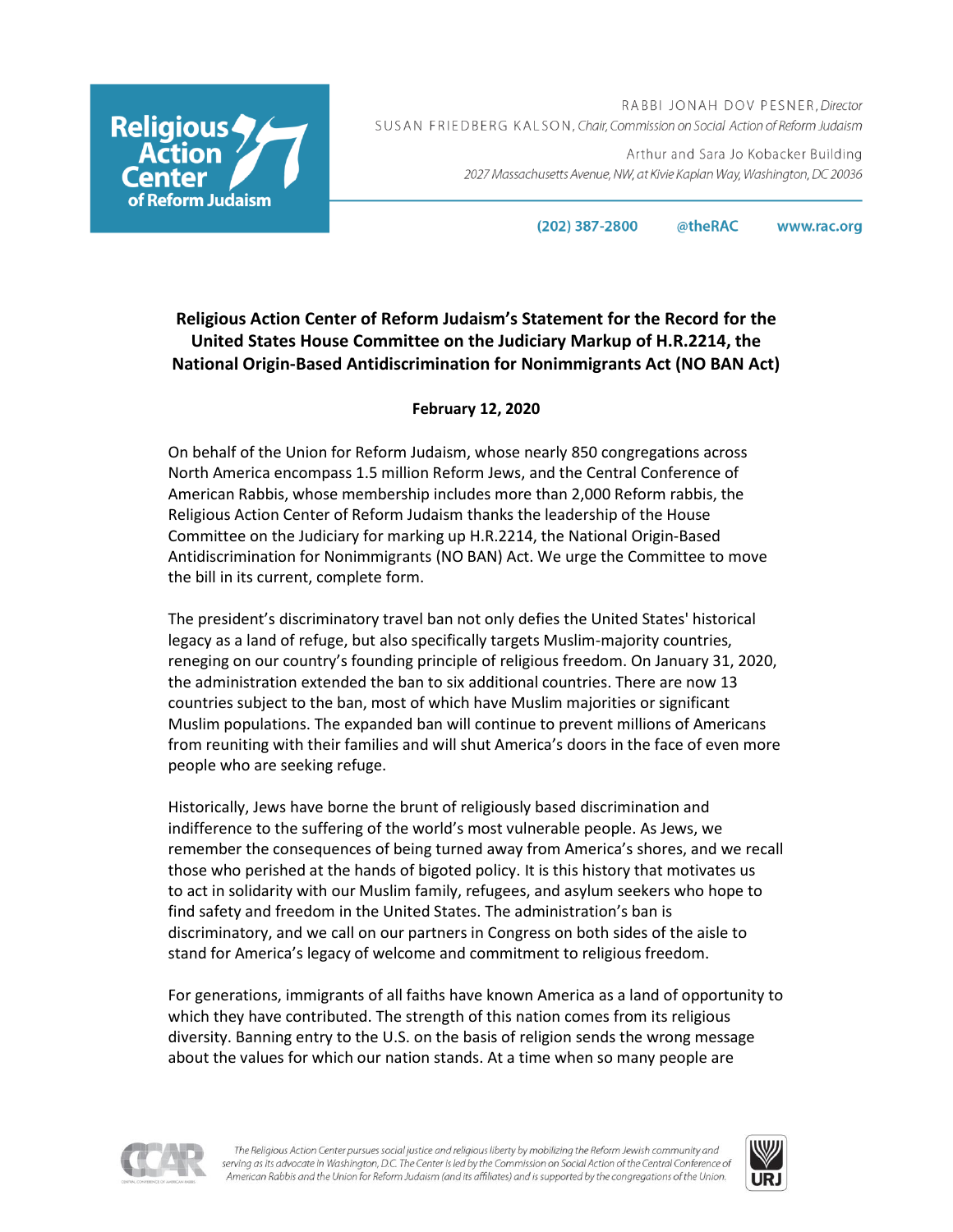**Religious** Reform Judaism '

RABBI JONAH DOV PESNER, Director SUSAN FRIEDBERG KALSON, Chair, Commission on Social Action of Reform Judaism

> Arthur and Sara Jo Kobacker Building 2027 Massachusetts Avenue, NW, at Kivie Kaplan Way, Washington, DC 20036

> > (202) 387-2800 @theRAC www.rac.org

## **Religious Action Center of Reform Judaism's Statement for the Record for the United States House Committee on the Judiciary Markup of H.R.2214, the National Origin-Based Antidiscrimination for Nonimmigrants Act (NO BAN Act)**

## **February 12, 2020**

On behalf of the Union for Reform Judaism, whose nearly 850 congregations across North America encompass 1.5 million Reform Jews, and the Central Conference of American Rabbis, whose membership includes more than 2,000 Reform rabbis, the Religious Action Center of Reform Judaism thanks the leadership of the House Committee on the Judiciary for marking up H.R.2214, the National Origin-Based Antidiscrimination for Nonimmigrants (NO BAN) Act. We urge the Committee to move the bill in its current, complete form.

The president's discriminatory travel ban not only defies the United States' historical legacy as a land of refuge, but also specifically targets Muslim-majority countries, reneging on our country's founding principle of religious freedom. On January 31, 2020, the administration extended the ban to six additional countries. There are now 13 countries subject to the ban, most of which have Muslim majorities or significant Muslim populations. The expanded ban will continue to prevent millions of Americans from reuniting with their families and will shut America's doors in the face of even more people who are seeking refuge.

Historically, Jews have borne the brunt of religiously based discrimination and indifference to the suffering of the world's most vulnerable people. As Jews, we remember the consequences of being turned away from America's shores, and we recall those who perished at the hands of bigoted policy. It is this history that motivates us to act in solidarity with our Muslim family, refugees, and asylum seekers who hope to find safety and freedom in the United States. The administration's ban is discriminatory, and we call on our partners in Congress on both sides of the aisle to stand for America's legacy of welcome and commitment to religious freedom.

For generations, immigrants of all faiths have known America as a land of opportunity to which they have contributed. The strength of this nation comes from its religious diversity. Banning entry to the U.S. on the basis of religion sends the wrong message about the values for which our nation stands. At a time when so many people are